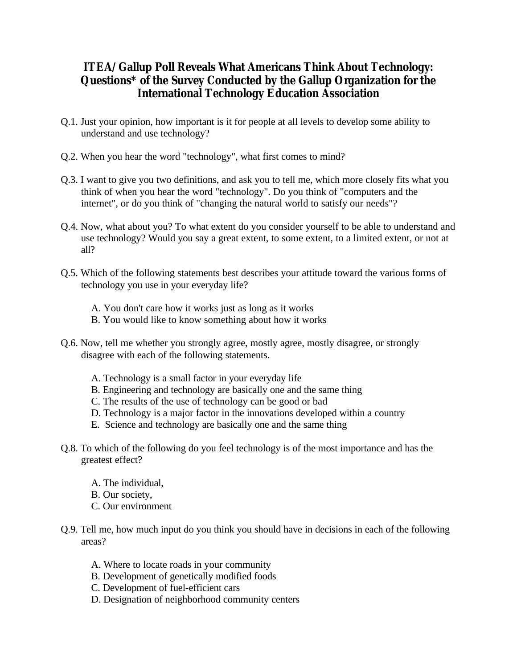## **ITEA/Gallup Poll Reveals What Americans Think About Technology: Questions\* of the Survey Conducted by the Gallup Organization for the International Technology Education Association**

- Q.1. Just your opinion, how important is it for people at all levels to develop some ability to understand and use technology?
- Q.2. When you hear the word "technology", what first comes to mind?
- Q.3. I want to give you two definitions, and ask you to tell me, which more closely fits what you think of when you hear the word "technology". Do you think of "computers and the internet", or do you think of "changing the natural world to satisfy our needs"?
- Q.4. Now, what about you? To what extent do you consider yourself to be able to understand and use technology? Would you say a great extent, to some extent, to a limited extent, or not at all?
- Q.5. Which of the following statements best describes your attitude toward the various forms of technology you use in your everyday life?
	- A. You don't care how it works just as long as it works
	- B. You would like to know something about how it works
- Q.6. Now, tell me whether you strongly agree, mostly agree, mostly disagree, or strongly disagree with each of the following statements.
	- A. Technology is a small factor in your everyday life
	- B. Engineering and technology are basically one and the same thing
	- C. The results of the use of technology can be good or bad
	- D. Technology is a major factor in the innovations developed within a country
	- E. Science and technology are basically one and the same thing
- Q.8. To which of the following do you feel technology is of the most importance and has the greatest effect?
	- A. The individual, B. Our society, C. Our environment
- Q.9. Tell me, how much input do you think you should have in decisions in each of the following areas?
	- A. Where to locate roads in your community
	- B. Development of genetically modified foods
	- C. Development of fuel-efficient cars
	- D. Designation of neighborhood community centers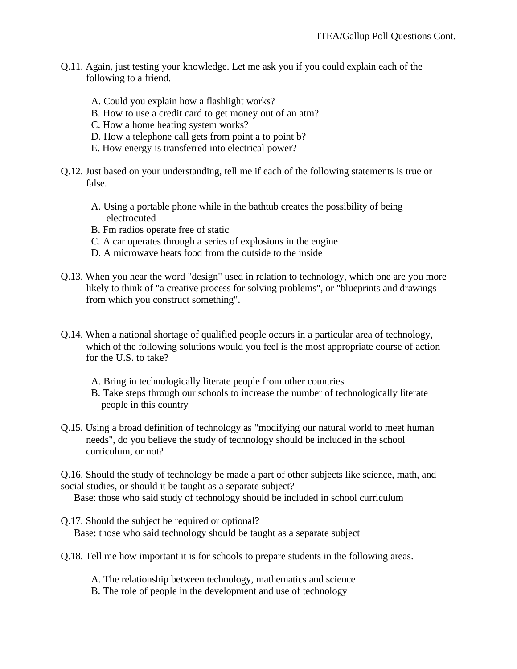- Q.11. Again, just testing your knowledge. Let me ask you if you could explain each of the following to a friend.
	- A. Could you explain how a flashlight works?
	- B. How to use a credit card to get money out of an atm?
	- C. How a home heating system works?
	- D. How a telephone call gets from point a to point b?
	- E. How energy is transferred into electrical power?
- Q.12. Just based on your understanding, tell me if each of the following statements is true or false.
	- A. Using a portable phone while in the bathtub creates the possibility of being electrocuted
	- B. Fm radios operate free of static
	- C. A car operates through a series of explosions in the engine
	- D. A microwave heats food from the outside to the inside
- Q.13. When you hear the word "design" used in relation to technology, which one are you more likely to think of "a creative process for solving problems", or "blueprints and drawings from which you construct something".
- Q.14. When a national shortage of qualified people occurs in a particular area of technology, which of the following solutions would you feel is the most appropriate course of action for the U.S. to take?
	- A. Bring in technologically literate people from other countries
	- B. Take steps through our schools to increase the number of technologically literate people in this country
- Q.15. Using a broad definition of technology as "modifying our natural world to meet human needs", do you believe the study of technology should be included in the school curriculum, or not?

Q.16. Should the study of technology be made a part of other subjects like science, math, and social studies, or should it be taught as a separate subject?

Base: those who said study of technology should be included in school curriculum

- Q.17. Should the subject be required or optional? Base: those who said technology should be taught as a separate subject
- Q.18. Tell me how important it is for schools to prepare students in the following areas.

A. The relationship between technology, mathematics and science

B. The role of people in the development and use of technology